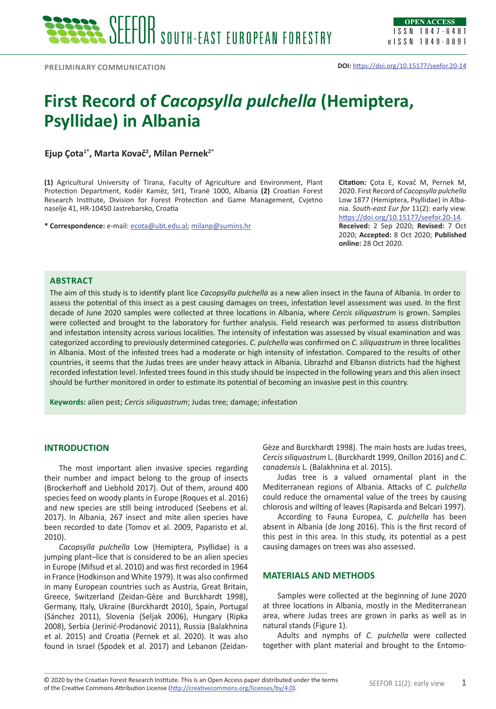# **First Record of** *Cacopsylla pulchella* **(Hemiptera, Psyllidae) in Albania**

**Ejup Çota1\*, Marta Kovač<sup>2</sup> , Milan Pernek2\***

**(1)** Agricultural University of Tirana, Faculty of Agriculture and Environment, Plant Protection Department, Kodër Kamëz, SH1, Tiranë 1000, Albania **(2)** Croatian Forest Research Institute, Division for Forest Protection and Game Management, Cvjetno naselje 41, HR-10450 Jastrebarsko, Croatia

**\* Correspondence:** e-mail: [ecota@ubt.edu.al](mailto:ecota@ubt.edu.al); [milanp@sumins.hr](mailto:milanp@sumins.hr)

**Citation:** Çota E, Kovač M, Pernek M, 2020. First Record of *Cacopsylla pulchella* Low 1877 (Hemiptera, Psyllidae) in Albania. *South-east Eur for* 11(2): early view. <https://doi.org/10.15177/seefor.20-14>. **Received:** 2 Sep 2020; **Revised:** 7 Oct 2020; **Accepted:** 8 Oct 2020; **Published online:** 28 Oct 2020.

## **Abstract**

The aim of this study is to identify plant lice *Cacopsylla pulchella* as a new alien insect in the fauna of Albania. In order to assess the potential of this insect as a pest causing damages on trees, infestation level assessment was used. In the first decade of June 2020 samples were collected at three locations in Albania, where *Cercis siliquastrum* is grown. Samples were collected and brought to the laboratory for further analysis. Field research was performed to assess distribution and infestation intensity across various localities. The intensity of infestation was assessed by visual examination and was categorized according to previously determined categories. *C. pulchella* was confirmed on *C. siliquastrum* in three localities in Albania. Most of the infested trees had a moderate or high intensity of infestation. Compared to the results of other countries, it seems that the Judas trees are under heavy attack in Albania. Librazhd and Elbansn districts had the highest recorded infestation level. Infested trees found in this study should be inspected in the following years and this alien insect should be further monitored in order to estimate its potential of becoming an invasive pest in this country.

**Keywords:** alien pest; *Cercis siliquastrum*; Judas tree; damage; infestation

#### **INTRODUCTION**

The most important alien invasive species regarding their number and impact belong to the group of insects (Brockerhoff and Liebhold 2017). Out of them, around 400 species feed on woody plants in Europe (Roques et al. 2016) and new species are still being introduced (Seebens et al. 2017). In Albania, 267 insect and mite alien species have been recorded to date (Tomov et al. 2009, Paparisto et al. 2010).

*Cacopsylla pulchella* Low (Hemiptera, Psyllidae) is a jumping plant–lice that is considered to be an alien species in Europe (Mifsud et al. 2010) and was first recorded in 1964 in France (Hodkinson and White 1979). It was also confirmed in many European countries such as Austria, Great Britain, Greece, Switzerland (Zeidan-Gèze and Burckhardt 1998), Germany, Italy, Ukraine (Burckhardt 2010), Spain, Portugal (Sánchez 2011), Slovenia (Seljak 2006), Hungary (Ripka 2008), Serbia (Jerinić-Prodanović 2011), Russia (Balakhnina et al. 2015) and Croatia (Pernek et al. 2020). It was also found in Israel (Spodek et al. 2017) and Lebanon (ZeidanGèze and Burckhardt 1998). The main hosts are Judas trees, *Cercis siliquastrum* L. (Burckhardt 1999, Onillon 2016) and *C. canadensis* L. (Balakhnina et al. 2015).

Judas tree is a valued ornamental plant in the Mediterranean regions of Albania. Attacks of *C. pulchella* could reduce the ornamental value of the trees by causing chlorosis and wilting of leaves (Rapisarda and Belcari 1997).

According to Fauna Europea, *C. pulchella* has been absent in Albania (de Jong 2016). This is the first record of this pest in this area. In this study, its potential as a pest causing damages on trees was also assessed.

#### **MATERIALS AND METHODS**

Samples were collected at the beginning of June 2020 at three locations in Albania, mostly in the Mediterranean area, where Judas trees are grown in parks as well as in natural stands (Figure 1).

Adults and nymphs of *C. pulchella* were collected together with plant material and brought to the Entomo-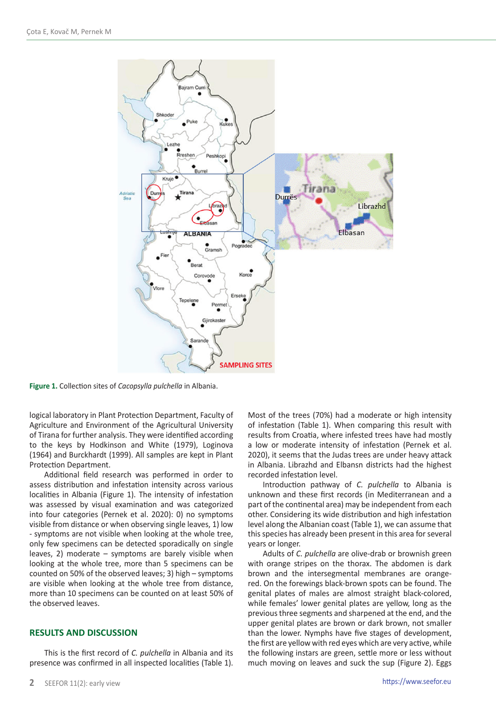

**Figure 1.** Collection sites of *Cacopsylla pulchella* in Albania.

logical laboratory in Plant Protection Department, Faculty of Agriculture and Environment of the Agricultural University of Tirana for further analysis. They were identified according to the keys by Hodkinson and White (1979), Loginova (1964) and Burckhardt (1999). All samples are kept in Plant Protection Department.

Additional field research was performed in order to assess distribution and infestation intensity across various localities in Albania (Figure 1). The intensity of infestation was assessed by visual examination and was categorized into four categories (Pernek et al. 2020): 0) no symptoms visible from distance or when observing single leaves, 1) low - symptoms are not visible when looking at the whole tree, only few specimens can be detected sporadically on single leaves, 2) moderate – symptoms are barely visible when looking at the whole tree, more than 5 specimens can be counted on 50% of the observed leaves; 3) high – symptoms are visible when looking at the whole tree from distance, more than 10 specimens can be counted on at least 50% of the observed leaves.

#### **RESULTS AND DISCUSSION**

This is the first record of *C. pulchella* in Albania and its presence was confirmed in all inspected localities (Table 1). Most of the trees (70%) had a moderate or high intensity of infestation (Table 1). When comparing this result with results from Croatia, where infested trees have had mostly a low or moderate intensity of infestation (Pernek et al. 2020), it seems that the Judas trees are under heavy attack in Albania. Librazhd and Elbansn districts had the highest recorded infestation level.

Introduction pathway of *C. pulchella* to Albania is unknown and these first records (in Mediterranean and a part of the continental area) may be independent from each other. Considering its wide distribution and high infestation level along the Albanian coast (Table 1), we can assume that this species has already been present in this area for several years or longer.

Adults of *C. pulchella* are olive-drab or brownish green with orange stripes on the thorax. The abdomen is dark brown and the intersegmental membranes are orangered. On the forewings black-brown spots can be found. The genital plates of males are almost straight black-colored, while females' lower genital plates are yellow, long as the previous three segments and sharpened at the end, and the upper genital plates are brown or dark brown, not smaller than the lower. Nymphs have five stages of development, the first are yellow with red eyes which are very active, while the following instars are green, settle more or less without much moving on leaves and suck the sup (Figure 2). Eggs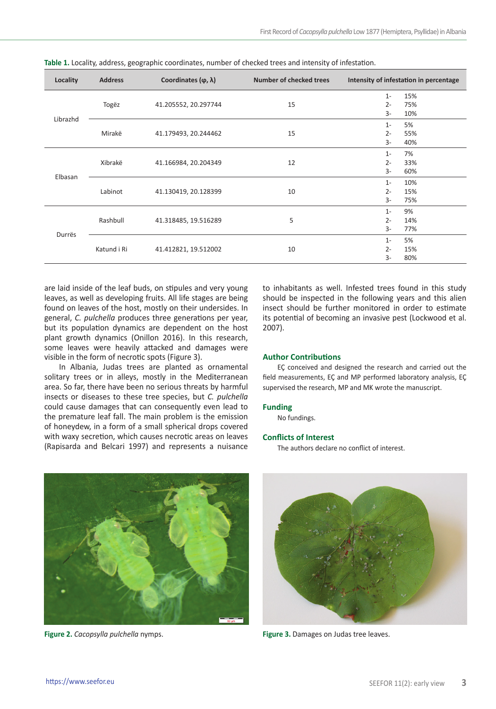| Locality | <b>Address</b> | Coordinates $(\varphi, \lambda)$ | Number of checked trees | Intensity of infestation in percentage      |
|----------|----------------|----------------------------------|-------------------------|---------------------------------------------|
| Librazhd | Togëz          | 41.205552, 20.297744             | 15                      | 15%<br>$1 -$<br>$2 -$<br>75%<br>3-<br>10%   |
|          | Mirakë         | 41.179493, 20.244462             | 15                      | 5%<br>$1 -$<br>$2 -$<br>55%<br>3-<br>40%    |
| Elbasan  | Xibrakë        | 41.166984, 20.204349             | 12                      | 7%<br>$1 -$<br>$2 -$<br>33%<br>3-<br>60%    |
|          | Labinot        | 41.130419, 20.128399             | 10                      | 10%<br>$1 -$<br>$2 -$<br>15%<br>3-<br>75%   |
| Durrës   | Rashbull       | 41.318485, 19.516289             | 5                       | 9%<br>$1 -$<br>$2 -$<br>14%<br>$3-$<br>77%  |
|          | Katund i Ri    | 41.412821, 19.512002             | 10                      | 5%<br>$1 -$<br>$2 -$<br>15%<br>$3 -$<br>80% |

**Table 1.** Locality, address, geographic coordinates, number of checked trees and intensity of infestation.

are laid inside of the leaf buds, on stipules and very young leaves, as well as developing fruits. All life stages are being found on leaves of the host, mostly on their undersides. In general, *C. pulchella* produces three generations per year, but its population dynamics are dependent on the host plant growth dynamics (Onillon 2016). In this research, some leaves were heavily attacked and damages were visible in the form of necrotic spots (Figure 3).

In Albania, Judas trees are planted as ornamental solitary trees or in alleys, mostly in the Mediterranean area. So far, there have been no serious threats by harmful insects or diseases to these tree species, but *C. pulchella*  could cause damages that can consequently even lead to the premature leaf fall. The main problem is the emission of honeydew, in a form of a small spherical drops covered with waxy secretion, which causes necrotic areas on leaves (Rapisarda and Belcari 1997) and represents a nuisance

to inhabitants as well. Infested trees found in this study should be inspected in the following years and this alien insect should be further monitored in order to estimate its potential of becoming an invasive pest (Lockwood et al. 2007).

#### **Author Contributions**

EÇ conceived and designed the research and carried out the field measurements, EÇ and MP performed laboratory analysis, EÇ supervised the research, MP and MK wrote the manuscript.

# **Funding**

No fundings.

#### **Conflicts of Interest**

The authors declare no conflict of interest.





**Figure 2.** *Cacopsylla pulchella* nymps. **Figure 3.** Damages on Judas tree leaves.